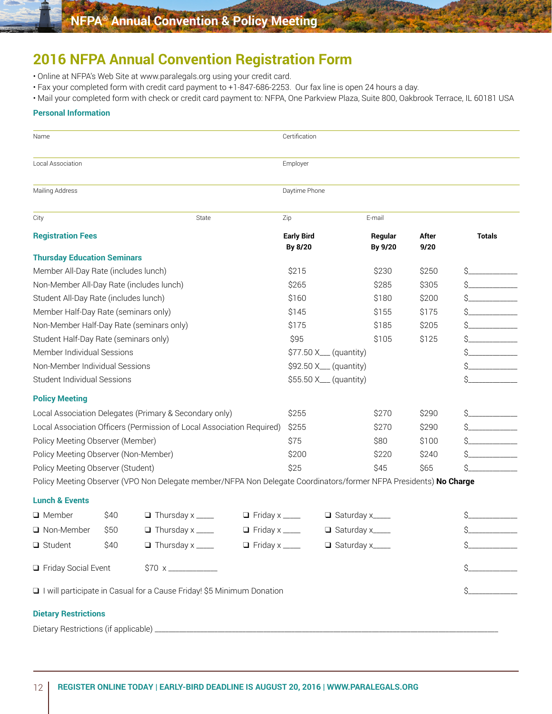# **2016 NFPA Annual Convention Registration Form**

- Online at NFPA's Web Site at www.paralegals.org using your credit card.
- Fax your completed form with credit card payment to +1-847-686-2253. Our fax line is open 24 hours a day.
- Mail your completed form with check or credit card payment to: NFPA, One Parkview Plaza, Suite 800, Oakbrook Terrace, IL 60181 USA

## **Personal Information**

| Name                                                                    |      |                                                                                                                   |                       | Certification                |                        |  |               |               |
|-------------------------------------------------------------------------|------|-------------------------------------------------------------------------------------------------------------------|-----------------------|------------------------------|------------------------|--|---------------|---------------|
| Local Association                                                       |      |                                                                                                                   |                       | Employer                     |                        |  |               |               |
| Mailing Address                                                         |      |                                                                                                                   |                       | Daytime Phone                |                        |  |               |               |
| City                                                                    |      | State                                                                                                             |                       | Zip                          | E-mail                 |  |               |               |
| <b>Registration Fees</b>                                                |      |                                                                                                                   |                       | <b>Early Bird</b><br>By 8/20 | Regular<br>By 9/20     |  | After<br>9/20 | <b>Totals</b> |
| <b>Thursday Education Seminars</b>                                      |      |                                                                                                                   |                       |                              |                        |  |               |               |
| Member All-Day Rate (includes lunch)                                    |      |                                                                                                                   |                       | \$215                        | \$230                  |  | \$250         |               |
| Non-Member All-Day Rate (includes lunch)                                |      |                                                                                                                   |                       | \$265                        | \$285                  |  | \$305         |               |
| Student All-Day Rate (includes lunch)                                   |      |                                                                                                                   |                       | \$160                        | \$180                  |  | \$200         |               |
| Member Half-Day Rate (seminars only)                                    |      |                                                                                                                   |                       | \$145                        | \$155                  |  | \$175         |               |
| Non-Member Half-Day Rate (seminars only)                                |      |                                                                                                                   |                       | \$175                        | \$185                  |  | \$205         |               |
| Student Half-Day Rate (seminars only)                                   |      |                                                                                                                   |                       | \$95                         | \$105                  |  | \$125         |               |
| Member Individual Sessions                                              |      |                                                                                                                   |                       |                              | \$77.50 X__ (quantity) |  |               |               |
| Non-Member Individual Sessions                                          |      |                                                                                                                   |                       |                              | \$92.50 X__ (quantity) |  |               |               |
| Student Individual Sessions                                             |      |                                                                                                                   |                       |                              | \$55.50 X__ (quantity) |  |               | Ś.            |
| <b>Policy Meeting</b>                                                   |      |                                                                                                                   |                       |                              |                        |  |               |               |
| Local Association Delegates (Primary & Secondary only)                  |      |                                                                                                                   |                       | \$255                        | \$270                  |  | \$290         |               |
| Local Association Officers (Permission of Local Association Required)   |      |                                                                                                                   |                       | \$255                        | \$270                  |  | \$290         |               |
| Policy Meeting Observer (Member)                                        |      |                                                                                                                   |                       | \$75                         | \$80                   |  | \$100         |               |
| Policy Meeting Observer (Non-Member)                                    |      |                                                                                                                   |                       | \$200                        | \$220                  |  | \$240         |               |
| Policy Meeting Observer (Student)                                       |      |                                                                                                                   |                       | \$25                         | \$45                   |  | \$65          | Ś             |
|                                                                         |      | Policy Meeting Observer (VPO Non Delegate member/NFPA Non Delegate Coordinators/former NFPA Presidents) No Charge |                       |                              |                        |  |               |               |
| <b>Lunch &amp; Events</b>                                               |      |                                                                                                                   |                       |                              |                        |  |               |               |
| □ Member                                                                | \$40 | $\Box$ Thursday x _____                                                                                           | $\Box$ Friday x _____ |                              | Saturday x____         |  |               |               |
| □ Non-Member                                                            | \$50 | $\Box$ Thursday x _____                                                                                           | $\Box$ Friday x _____ |                              | □ Saturday x____       |  |               | Ś             |
| $\Box$ Student                                                          | \$40 | $\Box$ Thursday x _____                                                                                           | $\Box$ Friday x _____ |                              | Saturday x____         |  |               |               |
| Friday Social Event<br>$$70 x$ <u>__________________</u>                |      |                                                                                                                   |                       |                              |                        |  |               |               |
| I I will participate in Casual for a Cause Friday! \$5 Minimum Donation |      |                                                                                                                   |                       |                              |                        |  |               |               |
| <b>Dietary Restrictions</b>                                             |      |                                                                                                                   |                       |                              |                        |  |               |               |

Dietary Restrictions (if applicable)